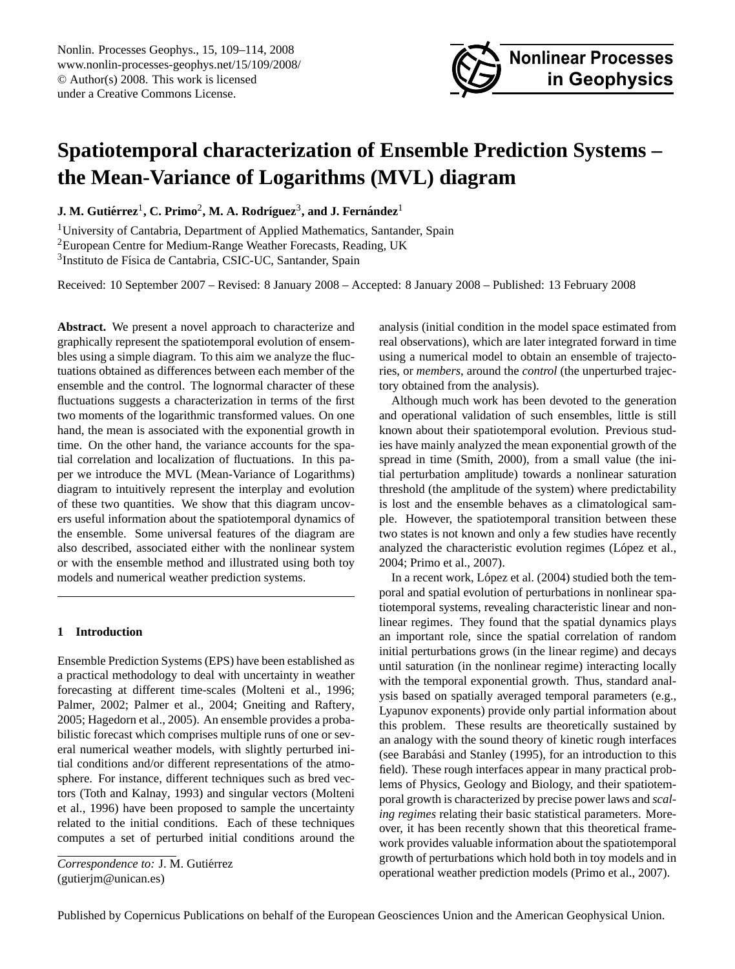<span id="page-0-0"></span>Nonlin. Processes Geophys., 15, 109–114, 2008 www.nonlin-processes-geophys.net/15/109/2008/ © Author(s) 2008. This work is licensed under a Creative Commons License.



# **Spatiotemporal characterization of Ensemble Prediction Systems – the Mean-Variance of Logarithms (MVL) diagram**

 ${\bf J.~M.~Guti}$ érrez $^1$ , C. Primo $^2$ , M. A. Rodríguez $^3$ , and J. Fernández $^1$ 

<sup>1</sup>University of Cantabria, Department of Applied Mathematics, Santander, Spain <sup>2</sup>European Centre for Medium-Range Weather Forecasts, Reading, UK

<sup>3</sup>Instituto de Física de Cantabria, CSIC-UC, Santander, Spain

Received: 10 September 2007 – Revised: 8 January 2008 – Accepted: 8 January 2008 – Published: 13 February 2008

**Abstract.** We present a novel approach to characterize and graphically represent the spatiotemporal evolution of ensembles using a simple diagram. To this aim we analyze the fluctuations obtained as differences between each member of the ensemble and the control. The lognormal character of these fluctuations suggests a characterization in terms of the first two moments of the logarithmic transformed values. On one hand, the mean is associated with the exponential growth in time. On the other hand, the variance accounts for the spatial correlation and localization of fluctuations. In this paper we introduce the MVL (Mean-Variance of Logarithms) diagram to intuitively represent the interplay and evolution of these two quantities. We show that this diagram uncovers useful information about the spatiotemporal dynamics of the ensemble. Some universal features of the diagram are also described, associated either with the nonlinear system or with the ensemble method and illustrated using both toy models and numerical weather prediction systems.

## **1 Introduction**

Ensemble Prediction Systems (EPS) have been established as a practical methodology to deal with uncertainty in weather forecasting at different time-scales [\(Molteni et al.,](#page-5-0) [1996;](#page-5-0) [Palmer,](#page-5-1) [2002;](#page-5-1) [Palmer et al.,](#page-5-2) [2004;](#page-5-2) [Gneiting and Raftery,](#page-5-3) [2005;](#page-5-3) [Hagedorn et al.,](#page-5-4) [2005\)](#page-5-4). An ensemble provides a probabilistic forecast which comprises multiple runs of one or several numerical weather models, with slightly perturbed initial conditions and/or different representations of the atmosphere. For instance, different techniques such as bred vectors [\(Toth and Kalnay,](#page-5-5) [1993\)](#page-5-5) and singular vectors [\(Molteni](#page-5-0) [et al.,](#page-5-0) [1996\)](#page-5-0) have been proposed to sample the uncertainty related to the initial conditions. Each of these techniques computes a set of perturbed initial conditions around the

*Correspondence to:* J. M. Gutierrez ´ (gutierjm@unican.es)

analysis (initial condition in the model space estimated from real observations), which are later integrated forward in time using a numerical model to obtain an ensemble of trajectories, or *members*, around the *control* (the unperturbed trajectory obtained from the analysis).

Although much work has been devoted to the generation and operational validation of such ensembles, little is still known about their spatiotemporal evolution. Previous studies have mainly analyzed the mean exponential growth of the spread in time [\(Smith,](#page-5-6) [2000\)](#page-5-6), from a small value (the initial perturbation amplitude) towards a nonlinear saturation threshold (the amplitude of the system) where predictability is lost and the ensemble behaves as a climatological sample. However, the spatiotemporal transition between these two states is not known and only a few studies have recently analyzed the characteristic evolution regimes (López et al., [2004;](#page-5-7) [Primo et al.,](#page-5-8) [2007\)](#page-5-8).

In a recent work, López et al. [\(2004\)](#page-5-7) studied both the temporal and spatial evolution of perturbations in nonlinear spatiotemporal systems, revealing characteristic linear and nonlinear regimes. They found that the spatial dynamics plays an important role, since the spatial correlation of random initial perturbations grows (in the linear regime) and decays until saturation (in the nonlinear regime) interacting locally with the temporal exponential growth. Thus, standard analysis based on spatially averaged temporal parameters (e.g., Lyapunov exponents) provide only partial information about this problem. These results are theoretically sustained by an analogy with the sound theory of kinetic rough interfaces (see Barabási and Stanley [\(1995\)](#page-5-9), for an introduction to this field). These rough interfaces appear in many practical problems of Physics, Geology and Biology, and their spatiotemporal growth is characterized by precise power laws and *scaling regimes* relating their basic statistical parameters. Moreover, it has been recently shown that this theoretical framework provides valuable information about the spatiotemporal growth of perturbations which hold both in toy models and in operational weather prediction models [\(Primo et al.,](#page-5-8) [2007\)](#page-5-8).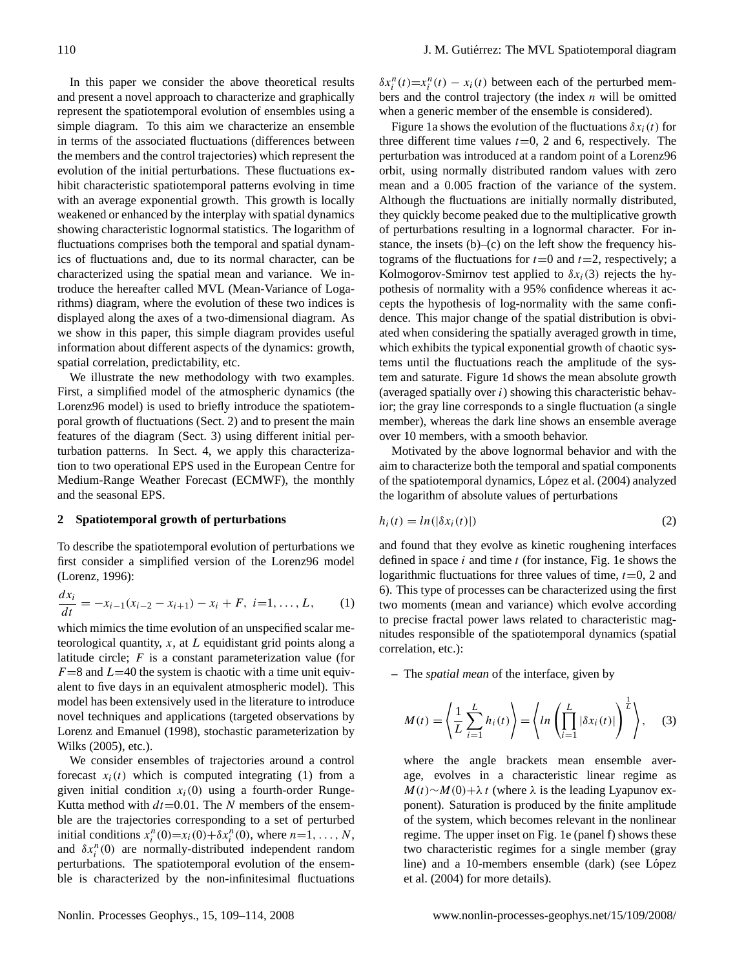In this paper we consider the above theoretical results and present a novel approach to characterize and graphically represent the spatiotemporal evolution of ensembles using a simple diagram. To this aim we characterize an ensemble in terms of the associated fluctuations (differences between the members and the control trajectories) which represent the evolution of the initial perturbations. These fluctuations exhibit characteristic spatiotemporal patterns evolving in time with an average exponential growth. This growth is locally weakened or enhanced by the interplay with spatial dynamics showing characteristic lognormal statistics. The logarithm of fluctuations comprises both the temporal and spatial dynamics of fluctuations and, due to its normal character, can be characterized using the spatial mean and variance. We introduce the hereafter called MVL (Mean-Variance of Logarithms) diagram, where the evolution of these two indices is displayed along the axes of a two-dimensional diagram. As we show in this paper, this simple diagram provides useful information about different aspects of the dynamics: growth, spatial correlation, predictability, etc.

We illustrate the new methodology with two examples. First, a simplified model of the atmospheric dynamics (the Lorenz96 model) is used to briefly introduce the spatiotemporal growth of fluctuations (Sect. [2\)](#page-1-0) and to present the main features of the diagram (Sect. [3\)](#page-3-0) using different initial perturbation patterns. In Sect. [4,](#page-4-0) we apply this characterization to two operational EPS used in the European Centre for Medium-Range Weather Forecast (ECMWF), the monthly and the seasonal EPS.

## <span id="page-1-0"></span>**2 Spatiotemporal growth of perturbations**

To describe the spatiotemporal evolution of perturbations we first consider a simplified version of the Lorenz96 model [\(Lorenz,](#page-5-10) [1996\)](#page-5-10):

<span id="page-1-1"></span>
$$
\frac{dx_i}{dt} = -x_{i-1}(x_{i-2} - x_{i+1}) - x_i + F, \ i=1,\ldots,L,\qquad(1)
$$

which mimics the time evolution of an unspecified scalar meteorological quantity,  $x$ , at  $L$  equidistant grid points along a latitude circle;  $F$  is a constant parameterization value (for  $F=8$  and  $L=40$  the system is chaotic with a time unit equivalent to five days in an equivalent atmospheric model). This model has been extensively used in the literature to introduce novel techniques and applications (targeted observations by [Lorenz and Emanuel](#page-5-11) [\(1998\)](#page-5-11), stochastic parameterization by [Wilks](#page-5-12) [\(2005\)](#page-5-12), etc.).

We consider ensembles of trajectories around a control forecast  $x_i(t)$  which is computed integrating [\(1\)](#page-1-1) from a given initial condition  $x_i(0)$  using a fourth-order Runge-Kutta method with  $dt = 0.01$ . The N members of the ensemble are the trajectories corresponding to a set of perturbed initial conditions  $x_i^n(0)=x_i(0)+\delta x_i^n(0)$ , where  $n=1,\ldots,N$ , and  $\delta x_i^n(0)$  are normally-distributed independent random perturbations. The spatiotemporal evolution of the ensemble is characterized by the non-infinitesimal fluctuations

 $\delta x_i^n(t) = x_i^n(t) - x_i(t)$  between each of the perturbed members and the control trajectory (the index  $n$  will be omitted when a generic member of the ensemble is considered).

Figure [1a](#page-2-0) shows the evolution of the fluctuations  $\delta x_i(t)$  for three different time values  $t=0$ , 2 and 6, respectively. The perturbation was introduced at a random point of a Lorenz96 orbit, using normally distributed random values with zero mean and a 0.005 fraction of the variance of the system. Although the fluctuations are initially normally distributed, they quickly become peaked due to the multiplicative growth of perturbations resulting in a lognormal character. For instance, the insets  $(b)$ – $(c)$  on the left show the frequency histograms of the fluctuations for  $t=0$  and  $t=2$ , respectively; a Kolmogorov-Smirnov test applied to  $\delta x_i(3)$  rejects the hypothesis of normality with a 95% confidence whereas it accepts the hypothesis of log-normality with the same confidence. This major change of the spatial distribution is obviated when considering the spatially averaged growth in time, which exhibits the typical exponential growth of chaotic systems until the fluctuations reach the amplitude of the system and saturate. Figure [1d](#page-2-0) shows the mean absolute growth (averaged spatially over  $i$ ) showing this characteristic behavior; the gray line corresponds to a single fluctuation (a single member), whereas the dark line shows an ensemble average over 10 members, with a smooth behavior.

Motivated by the above lognormal behavior and with the aim to characterize both the temporal and spatial components of the spatiotemporal dynamics, López et al. [\(2004\)](#page-5-7) analyzed the logarithm of absolute values of perturbations

$$
h_i(t) = ln(|\delta x_i(t)|)
$$
\n(2)

and found that they evolve as kinetic roughening interfaces defined in space  $i$  and time  $t$  (for instance, Fig. [1e](#page-2-0) shows the logarithmic fluctuations for three values of time,  $t=0$ , 2 and 6). This type of processes can be characterized using the first two moments (mean and variance) which evolve according to precise fractal power laws related to characteristic magnitudes responsible of the spatiotemporal dynamics (spatial correlation, etc.):

**–** The *spatial mean* of the interface, given by

$$
M(t) = \left\langle \frac{1}{L} \sum_{i=1}^{L} h_i(t) \right\rangle = \left\langle \ln \left( \prod_{i=1}^{L} |\delta x_i(t)| \right)^{\frac{1}{L}} \right\rangle, \quad (3)
$$

where the angle brackets mean ensemble average, evolves in a characteristic linear regime as  $M(t)~N(0)$ +λ t (where  $\lambda$  is the leading Lyapunov exponent). Saturation is produced by the finite amplitude of the system, which becomes relevant in the nonlinear regime. The upper inset on Fig. [1e](#page-2-0) (panel f) shows these two characteristic regimes for a single member (gray line) and a 10-members ensemble (dark) (see López [et al.](#page-5-7) [\(2004\)](#page-5-7) for more details).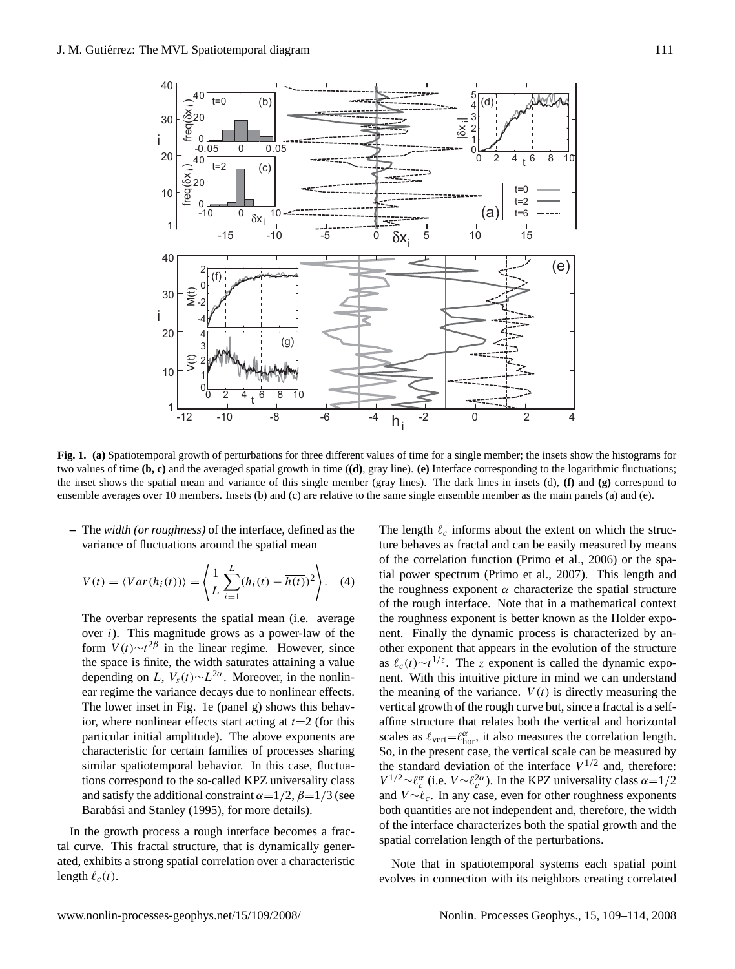

<span id="page-2-0"></span>**Fig. 1. (a)** Spatiotemporal growth of perturbations for three different values of time for a single member; the insets show the histograms for two values of time **(b, c)** and the averaged spatial growth in time (**(d)**, gray line). **(e)** Interface corresponding to the logarithmic fluctuations; the inset shows the spatial mean and variance of this single member (gray lines). The dark lines in insets (d), **(f)** and **(g)** correspond to ensemble averages over 10 members. Insets (b) and (c) are relative to the same single ensemble member as the main panels (a) and (e).

**–** The *width (or roughness)* of the interface, defined as the variance of fluctuations around the spatial mean

$$
V(t) = \langle Var(h_i(t)) \rangle = \left\langle \frac{1}{L} \sum_{i=1}^{L} (h_i(t) - \overline{h(t)})^2 \right\rangle.
$$
 (4)

The overbar represents the spatial mean (i.e. average over i). This magnitude grows as a power-law of the form  $V(t) \sim t^{2\beta}$  in the linear regime. However, since the space is finite, the width saturates attaining a value depending on L,  $V_s(t) \sim L^{2\alpha}$ . Moreover, in the nonlinear regime the variance decays due to nonlinear effects. The lower inset in Fig. [1e](#page-2-0) (panel g) shows this behavior, where nonlinear effects start acting at  $t=2$  (for this particular initial amplitude). The above exponents are characteristic for certain families of processes sharing similar spatiotemporal behavior. In this case, fluctuations correspond to the so-called KPZ universality class and satisfy the additional constraint  $\alpha = 1/2$ ,  $\beta = 1/3$  (see Barabási and Stanley [\(1995\)](#page-5-9), for more details).

In the growth process a rough interface becomes a fractal curve. This fractal structure, that is dynamically generated, exhibits a strong spatial correlation over a characteristic length  $\ell_c(t)$ .

The length  $\ell_c$  informs about the extent on which the structure behaves as fractal and can be easily measured by means of the correlation function [\(Primo et al.,](#page-5-13) [2006\)](#page-5-13) or the spatial power spectrum [\(Primo et al.,](#page-5-8) [2007\)](#page-5-8). This length and the roughness exponent  $\alpha$  characterize the spatial structure of the rough interface. Note that in a mathematical context the roughness exponent is better known as the Holder exponent. Finally the dynamic process is characterized by another exponent that appears in the evolution of the structure as  $\ell_c(t) \sim t^{1/z}$ . The z exponent is called the dynamic exponent. With this intuitive picture in mind we can understand the meaning of the variance.  $V(t)$  is directly measuring the vertical growth of the rough curve but, since a fractal is a selfaffine structure that relates both the vertical and horizontal scales as  $\ell_{\text{vert}} = \ell_{\text{hor}}^{\alpha}$ , it also measures the correlation length. So, in the present case, the vertical scale can be measured by the standard deviation of the interface  $V^{1/2}$  and, therefore:  $V^{1/2} \sim \ell_c^{\alpha}$  (i.e.  $V \sim \ell_c^{2\alpha}$ ). In the KPZ universality class α=1/2 and  $V \sim \ell_c$ . In any case, even for other roughness exponents both quantities are not independent and, therefore, the width of the interface characterizes both the spatial growth and the spatial correlation length of the perturbations.

Note that in spatiotemporal systems each spatial point evolves in connection with its neighbors creating correlated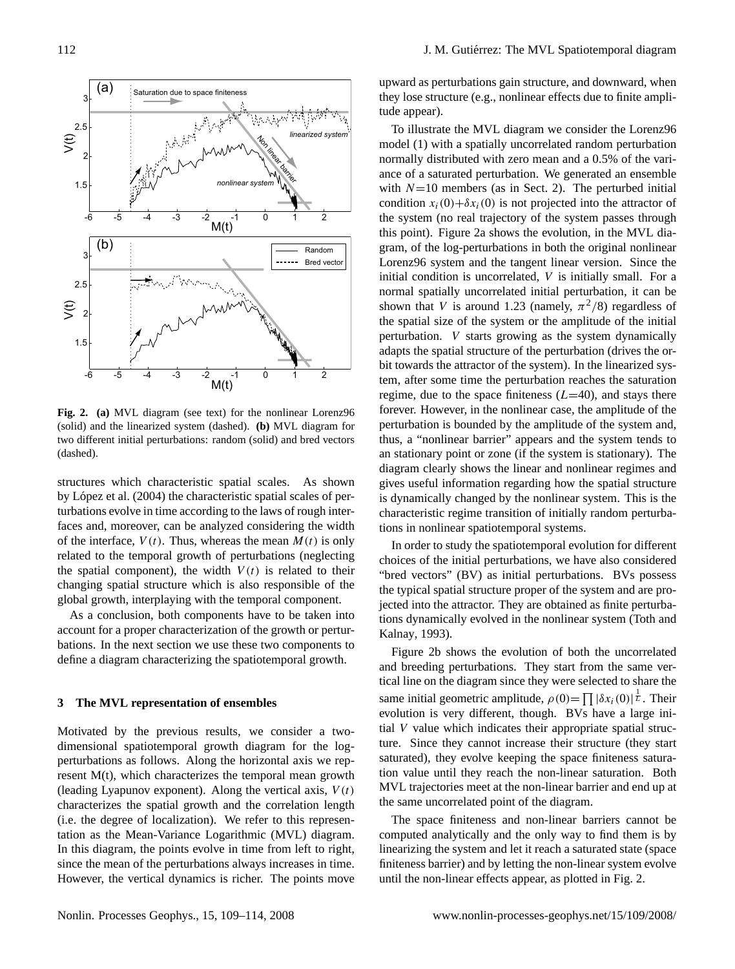

<span id="page-3-1"></span>**Fig. 2. (a)** MVL diagram (see text) for the nonlinear Lorenz96 (solid) and the linearized system (dashed). **(b)** MVL diagram for two different initial perturbations: random (solid) and bred vectors (dashed).

structures which characteristic spatial scales. As shown by López et al. [\(2004\)](#page-5-7) the characteristic spatial scales of perturbations evolve in time according to the laws of rough interfaces and, moreover, can be analyzed considering the width of the interface,  $V(t)$ . Thus, whereas the mean  $M(t)$  is only related to the temporal growth of perturbations (neglecting the spatial component), the width  $V(t)$  is related to their changing spatial structure which is also responsible of the global growth, interplaying with the temporal component.

As a conclusion, both components have to be taken into account for a proper characterization of the growth or perturbations. In the next section we use these two components to define a diagram characterizing the spatiotemporal growth.

## <span id="page-3-0"></span>**3 The MVL representation of ensembles**

Motivated by the previous results, we consider a twodimensional spatiotemporal growth diagram for the logperturbations as follows. Along the horizontal axis we represent M(t), which characterizes the temporal mean growth (leading Lyapunov exponent). Along the vertical axis,  $V(t)$ characterizes the spatial growth and the correlation length (i.e. the degree of localization). We refer to this representation as the Mean-Variance Logarithmic (MVL) diagram. In this diagram, the points evolve in time from left to right, since the mean of the perturbations always increases in time. However, the vertical dynamics is richer. The points move upward as perturbations gain structure, and downward, when they lose structure (e.g., nonlinear effects due to finite amplitude appear).

To illustrate the MVL diagram we consider the Lorenz96 model [\(1\)](#page-1-1) with a spatially uncorrelated random perturbation normally distributed with zero mean and a 0.5% of the variance of a saturated perturbation. We generated an ensemble with  $N=10$  members (as in Sect. [2\)](#page-1-0). The perturbed initial condition  $x_i(0) + \delta x_i(0)$  is not projected into the attractor of the system (no real trajectory of the system passes through this point). Figure [2a](#page-3-1) shows the evolution, in the MVL diagram, of the log-perturbations in both the original nonlinear Lorenz96 system and the tangent linear version. Since the initial condition is uncorrelated,  $V$  is initially small. For a normal spatially uncorrelated initial perturbation, it can be shown that V is around 1.23 (namely,  $\pi^2/8$ ) regardless of the spatial size of the system or the amplitude of the initial perturbation. V starts growing as the system dynamically adapts the spatial structure of the perturbation (drives the orbit towards the attractor of the system). In the linearized system, after some time the perturbation reaches the saturation regime, due to the space finiteness  $(L=40)$ , and stays there forever. However, in the nonlinear case, the amplitude of the perturbation is bounded by the amplitude of the system and, thus, a "nonlinear barrier" appears and the system tends to an stationary point or zone (if the system is stationary). The diagram clearly shows the linear and nonlinear regimes and gives useful information regarding how the spatial structure is dynamically changed by the nonlinear system. This is the characteristic regime transition of initially random perturbations in nonlinear spatiotemporal systems.

In order to study the spatiotemporal evolution for different choices of the initial perturbations, we have also considered "bred vectors" (BV) as initial perturbations. BVs possess the typical spatial structure proper of the system and are projected into the attractor. They are obtained as finite perturbations dynamically evolved in the nonlinear system [\(Toth and](#page-5-5) [Kalnay,](#page-5-5) [1993\)](#page-5-5).

Figure [2b](#page-3-1) shows the evolution of both the uncorrelated and breeding perturbations. They start from the same vertical line on the diagram since they were selected to share the same initial geometric amplitude,  $\rho(0) = \prod |\delta x_i(0)|^{\frac{1}{L}}$ . Their evolution is very different, though. BVs have a large initial V value which indicates their appropriate spatial structure. Since they cannot increase their structure (they start saturated), they evolve keeping the space finiteness saturation value until they reach the non-linear saturation. Both MVL trajectories meet at the non-linear barrier and end up at the same uncorrelated point of the diagram.

The space finiteness and non-linear barriers cannot be computed analytically and the only way to find them is by linearizing the system and let it reach a saturated state (space finiteness barrier) and by letting the non-linear system evolve until the non-linear effects appear, as plotted in Fig. [2.](#page-3-1)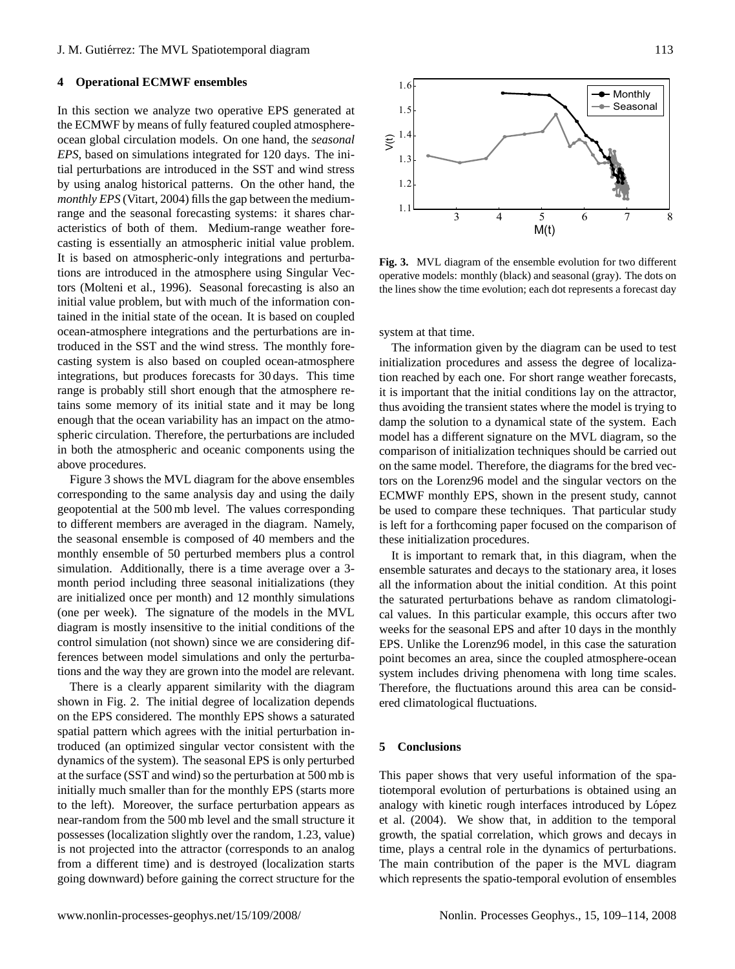## <span id="page-4-0"></span>**4 Operational ECMWF ensembles**

In this section we analyze two operative EPS generated at the ECMWF by means of fully featured coupled atmosphereocean global circulation models. On one hand, the *seasonal EPS*, based on simulations integrated for 120 days. The initial perturbations are introduced in the SST and wind stress by using analog historical patterns. On the other hand, the *monthly EPS* [\(Vitart,](#page-5-14) [2004\)](#page-5-14) fills the gap between the mediumrange and the seasonal forecasting systems: it shares characteristics of both of them. Medium-range weather forecasting is essentially an atmospheric initial value problem. It is based on atmospheric-only integrations and perturbations are introduced in the atmosphere using Singular Vectors [\(Molteni et al.,](#page-5-0) [1996\)](#page-5-0). Seasonal forecasting is also an initial value problem, but with much of the information contained in the initial state of the ocean. It is based on coupled ocean-atmosphere integrations and the perturbations are introduced in the SST and the wind stress. The monthly forecasting system is also based on coupled ocean-atmosphere integrations, but produces forecasts for 30 days. This time range is probably still short enough that the atmosphere retains some memory of its initial state and it may be long enough that the ocean variability has an impact on the atmospheric circulation. Therefore, the perturbations are included in both the atmospheric and oceanic components using the above procedures.

Figure [3](#page-4-1) shows the MVL diagram for the above ensembles corresponding to the same analysis day and using the daily geopotential at the 500 mb level. The values corresponding to different members are averaged in the diagram. Namely, the seasonal ensemble is composed of 40 members and the monthly ensemble of 50 perturbed members plus a control simulation. Additionally, there is a time average over a 3 month period including three seasonal initializations (they are initialized once per month) and 12 monthly simulations (one per week). The signature of the models in the MVL diagram is mostly insensitive to the initial conditions of the control simulation (not shown) since we are considering differences between model simulations and only the perturbations and the way they are grown into the model are relevant.

There is a clearly apparent similarity with the diagram shown in Fig. [2.](#page-3-1) The initial degree of localization depends on the EPS considered. The monthly EPS shows a saturated spatial pattern which agrees with the initial perturbation introduced (an optimized singular vector consistent with the dynamics of the system). The seasonal EPS is only perturbed at the surface (SST and wind) so the perturbation at 500 mb is initially much smaller than for the monthly EPS (starts more to the left). Moreover, the surface perturbation appears as near-random from the 500 mb level and the small structure it possesses (localization slightly over the random, 1.23, value) is not projected into the attractor (corresponds to an analog from a different time) and is destroyed (localization starts going downward) before gaining the correct structure for the



<span id="page-4-1"></span>**Fig. 3.** MVL diagram of the ensemble evolution for two different operative models: monthly (black) and seasonal (gray). The dots on the lines show the time evolution; each dot represents a forecast day

system at that time.

The information given by the diagram can be used to test initialization procedures and assess the degree of localization reached by each one. For short range weather forecasts, it is important that the initial conditions lay on the attractor, thus avoiding the transient states where the model is trying to damp the solution to a dynamical state of the system. Each model has a different signature on the MVL diagram, so the comparison of initialization techniques should be carried out on the same model. Therefore, the diagrams for the bred vectors on the Lorenz96 model and the singular vectors on the ECMWF monthly EPS, shown in the present study, cannot be used to compare these techniques. That particular study is left for a forthcoming paper focused on the comparison of these initialization procedures.

It is important to remark that, in this diagram, when the ensemble saturates and decays to the stationary area, it loses all the information about the initial condition. At this point the saturated perturbations behave as random climatological values. In this particular example, this occurs after two weeks for the seasonal EPS and after 10 days in the monthly EPS. Unlike the Lorenz96 model, in this case the saturation point becomes an area, since the coupled atmosphere-ocean system includes driving phenomena with long time scales. Therefore, the fluctuations around this area can be considered climatological fluctuations.

## **5 Conclusions**

This paper shows that very useful information of the spatiotemporal evolution of perturbations is obtained using an analogy with kinetic rough interfaces introduced by López [et al.](#page-5-7) [\(2004\)](#page-5-7). We show that, in addition to the temporal growth, the spatial correlation, which grows and decays in time, plays a central role in the dynamics of perturbations. The main contribution of the paper is the MVL diagram which represents the spatio-temporal evolution of ensembles